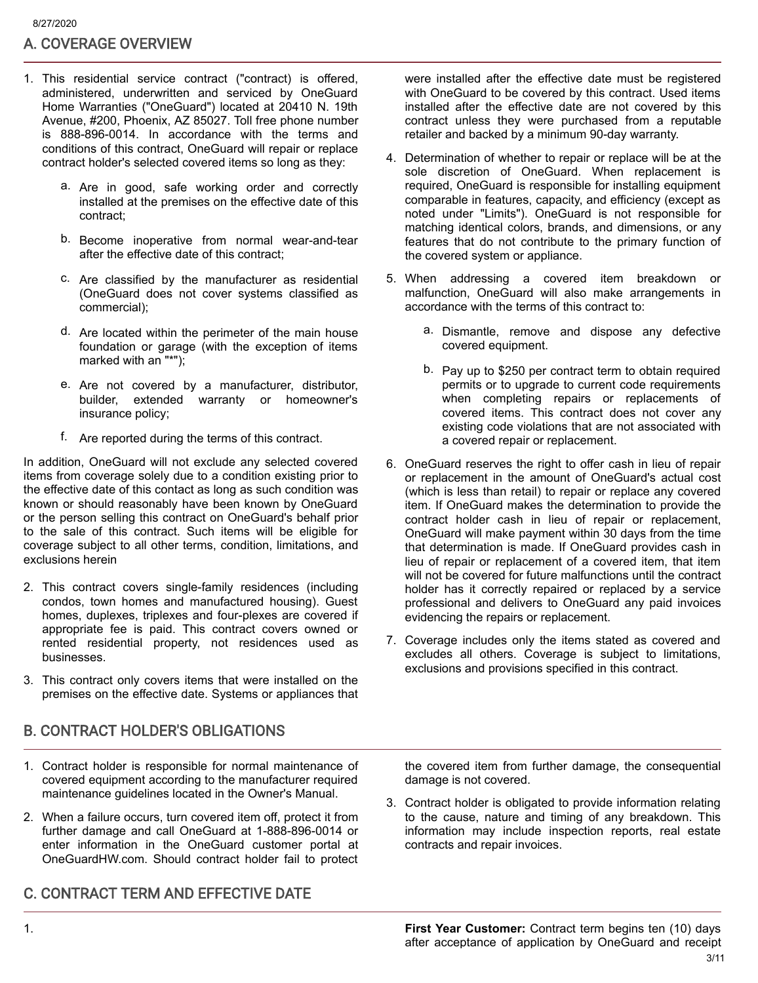## A. COVERAGE OVERVIEW

- 1. This residential service contract ("contract) is offered, administered, underwritten and serviced by OneGuard Home Warranties ("OneGuard") located at 20410 N. 19th Avenue, #200, Phoenix, AZ 85027. Toll free phone number is 888-896-0014. In accordance with the terms and conditions of this contract, OneGuard will repair or replace contract holder's selected covered items so long as they:
	- a. Are in good, safe working order and correctly installed at the premises on the effective date of this contract;
	- b. Become inoperative from normal wear-and-tear after the effective date of this contract;
	- c. Are classified by the manufacturer as residential (OneGuard does not cover systems classified as commercial);
	- d. Are located within the perimeter of the main house foundation or garage (with the exception of items marked with an "\*");
	- e. Are not covered by a manufacturer, distributor, builder, extended warranty or homeowner's insurance policy;
	- f. Are reported during the terms of this contract.

In addition, OneGuard will not exclude any selected covered items from coverage solely due to a condition existing prior to the effective date of this contact as long as such condition was known or should reasonably have been known by OneGuard or the person selling this contract on OneGuard's behalf prior to the sale of this contract. Such items will be eligible for coverage subject to all other terms, condition, limitations, and exclusions herein

- 2. This contract covers single-family residences (including condos, town homes and manufactured housing). Guest homes, duplexes, triplexes and four-plexes are covered if appropriate fee is paid. This contract covers owned or rented residential property, not residences used as businesses.
- 3. This contract only covers items that were installed on the premises on the effective date. Systems or appliances that

# B. CONTRACT HOLDER'S OBLIGATIONS

- 1. Contract holder is responsible for normal maintenance of covered equipment according to the manufacturer required maintenance guidelines located in the Owner's Manual.
- 2. When a failure occurs, turn covered item off, protect it from further damage and call OneGuard at 1-888-896-0014 or enter information in the OneGuard customer portal at OneGuardHW.com. Should contract holder fail to protect

# C. CONTRACT TERM AND EFFECTIVE DATE

were installed after the effective date must be registered with OneGuard to be covered by this contract. Used items installed after the effective date are not covered by this contract unless they were purchased from a reputable retailer and backed by a minimum 90-day warranty.

- 4. Determination of whether to repair or replace will be at the sole discretion of OneGuard. When replacement is required, OneGuard is responsible for installing equipment comparable in features, capacity, and efficiency (except as noted under "Limits"). OneGuard is not responsible for matching identical colors, brands, and dimensions, or any features that do not contribute to the primary function of the covered system or appliance.
- 5. When addressing a covered item breakdown or malfunction, OneGuard will also make arrangements in accordance with the terms of this contract to:
	- a. Dismantle, remove and dispose any defective covered equipment.
	- b. Pay up to \$250 per contract term to obtain required permits or to upgrade to current code requirements when completing repairs or replacements of covered items. This contract does not cover any existing code violations that are not associated with a covered repair or replacement.
- 6. OneGuard reserves the right to offer cash in lieu of repair or replacement in the amount of OneGuard's actual cost (which is less than retail) to repair or replace any covered item. If OneGuard makes the determination to provide the contract holder cash in lieu of repair or replacement, OneGuard will make payment within 30 days from the time that determination is made. If OneGuard provides cash in lieu of repair or replacement of a covered item, that item will not be covered for future malfunctions until the contract holder has it correctly repaired or replaced by a service professional and delivers to OneGuard any paid invoices evidencing the repairs or replacement.
- 7. Coverage includes only the items stated as covered and excludes all others. Coverage is subject to limitations, exclusions and provisions specified in this contract.

the covered item from further damage, the consequential damage is not covered.

3. Contract holder is obligated to provide information relating to the cause, nature and timing of any breakdown. This information may include inspection reports, real estate contracts and repair invoices.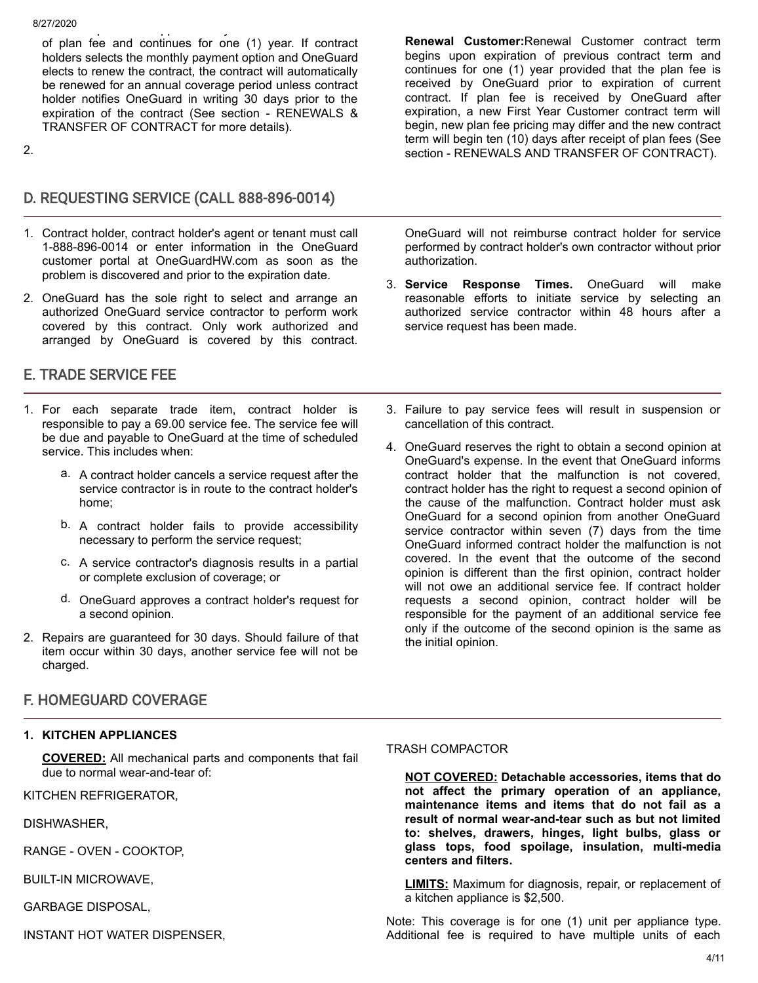#### 8/27/2020

p pp yields  $p$ of plan fee and continues for one (1) year. If contract holders selects the monthly payment option and OneGuard elects to renew the contract, the contract will automatically be renewed for an annual coverage period unless contract holder notifies OneGuard in writing 30 days prior to the expiration of the contract (See section - RENEWALS & TRANSFER OF CONTRACT for more details).

2.

# D. REQUESTING SERVICE (CALL 888-896-0014)

- 1. Contract holder, contract holder's agent or tenant must call 1-888-896-0014 or enter information in the OneGuard customer portal at OneGuardHW.com as soon as the problem is discovered and prior to the expiration date.
- 2. OneGuard has the sole right to select and arrange an authorized OneGuard service contractor to perform work covered by this contract. Only work authorized and arranged by OneGuard is covered by this contract.

## E. TRADE SERVICE FEE

- 1. For each separate trade item, contract holder is responsible to pay a 69.00 service fee. The service fee will be due and payable to OneGuard at the time of scheduled service. This includes when:
	- a. A contract holder cancels a service request after the service contractor is in route to the contract holder's home;
	- b. A contract holder fails to provide accessibility necessary to perform the service request;
	- c. A service contractor's diagnosis results in a partial or complete exclusion of coverage; or
	- d. OneGuard approves a contract holder's request for a second opinion.
- 2. Repairs are guaranteed for 30 days. Should failure of that item occur within 30 days, another service fee will not be charged.

## F. HOMEGUARD COVERAGE

## **1. KITCHEN APPLIANCES**

**COVERED:** All mechanical parts and components that fail due to normal wear-and-tear of:

KITCHEN REFRIGERATOR,

DISHWASHER,

RANGE - OVEN - COOKTOP,

BUILT-IN MICROWAVE,

GARBAGE DISPOSAL,

INSTANT HOT WATER DISPENSER,

**Renewal Customer:**Renewal Customer contract term begins upon expiration of previous contract term and continues for one (1) year provided that the plan fee is received by OneGuard prior to expiration of current contract. If plan fee is received by OneGuard after expiration, a new First Year Customer contract term will begin, new plan fee pricing may differ and the new contract term will begin ten (10) days after receipt of plan fees (See section - RENEWALS AND TRANSFER OF CONTRACT).

OneGuard will not reimburse contract holder for service performed by contract holder's own contractor without prior authorization.

- 3. **Service Response Times.** OneGuard will make reasonable efforts to initiate service by selecting an authorized service contractor within 48 hours after a service request has been made.
- 3. Failure to pay service fees will result in suspension or cancellation of this contract.
- 4. OneGuard reserves the right to obtain a second opinion at OneGuard's expense. In the event that OneGuard informs contract holder that the malfunction is not covered, contract holder has the right to request a second opinion of the cause of the malfunction. Contract holder must ask OneGuard for a second opinion from another OneGuard service contractor within seven (7) days from the time OneGuard informed contract holder the malfunction is not covered. In the event that the outcome of the second opinion is different than the first opinion, contract holder will not owe an additional service fee. If contract holder requests a second opinion, contract holder will be responsible for the payment of an additional service fee only if the outcome of the second opinion is the same as the initial opinion.

### TRASH COMPACTOR

**NOT COVERED: Detachable accessories, items that do not affect the primary operation of an appliance, maintenance items and items that do not fail as a result of normal wear-and-tear such as but not limited to: shelves, drawers, hinges, light bulbs, glass or glass tops, food spoilage, insulation, multi-media centers and filters.**

**LIMITS:** Maximum for diagnosis, repair, or replacement of a kitchen appliance is \$2,500.

Note: This coverage is for one (1) unit per appliance type. Additional fee is required to have multiple units of each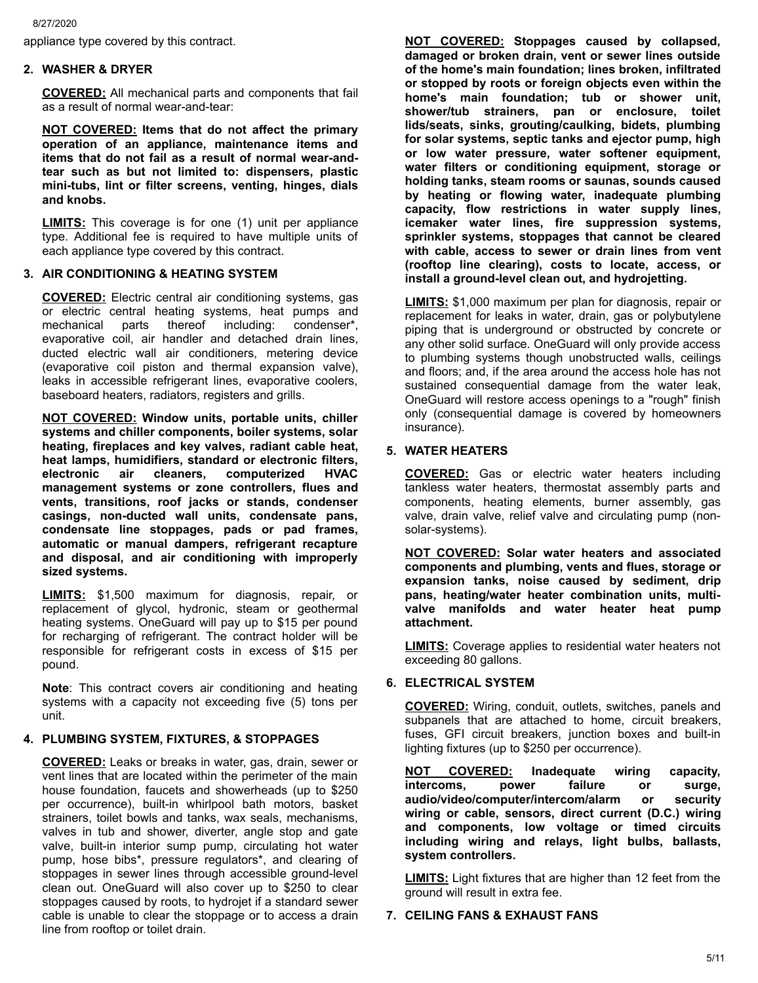8/27/2020

appliance type covered by this contract.

### **2. WASHER & DRYER**

**COVERED:** All mechanical parts and components that fail as a result of normal wear-and-tear:

**NOT COVERED: Items that do not affect the primary operation of an appliance, maintenance items and items that do not fail as a result of normal wear-andtear such as but not limited to: dispensers, plastic mini-tubs, lint or filter screens, venting, hinges, dials and knobs.**

**LIMITS:** This coverage is for one (1) unit per appliance type. Additional fee is required to have multiple units of each appliance type covered by this contract.

### **3. AIR CONDITIONING & HEATING SYSTEM**

**COVERED:** Electric central air conditioning systems, gas or electric central heating systems, heat pumps and mechanical parts thereof including: condenser\*, evaporative coil, air handler and detached drain lines, ducted electric wall air conditioners, metering device (evaporative coil piston and thermal expansion valve), leaks in accessible refrigerant lines, evaporative coolers, baseboard heaters, radiators, registers and grills.

**NOT COVERED: Window units, portable units, chiller systems and chiller components, boiler systems, solar heating, fireplaces and key valves, radiant cable heat, heat lamps, humidifiers, standard or electronic filters, electronic air cleaners, computerized HVAC management systems or zone controllers, flues and vents, transitions, roof jacks or stands, condenser casings, non-ducted wall units, condensate pans, condensate line stoppages, pads or pad frames, automatic or manual dampers, refrigerant recapture and disposal, and air conditioning with improperly sized systems.**

**LIMITS:** \$1,500 maximum for diagnosis, repair, or replacement of glycol, hydronic, steam or geothermal heating systems. OneGuard will pay up to \$15 per pound for recharging of refrigerant. The contract holder will be responsible for refrigerant costs in excess of \$15 per pound.

**Note**: This contract covers air conditioning and heating systems with a capacity not exceeding five (5) tons per unit.

### **4. PLUMBING SYSTEM, FIXTURES, & STOPPAGES**

**COVERED:** Leaks or breaks in water, gas, drain, sewer or vent lines that are located within the perimeter of the main house foundation, faucets and showerheads (up to \$250 per occurrence), built-in whirlpool bath motors, basket strainers, toilet bowls and tanks, wax seals, mechanisms, valves in tub and shower, diverter, angle stop and gate valve, built-in interior sump pump, circulating hot water pump, hose bibs\*, pressure regulators\*, and clearing of stoppages in sewer lines through accessible ground-level clean out. OneGuard will also cover up to \$250 to clear stoppages caused by roots, to hydrojet if a standard sewer cable is unable to clear the stoppage or to access a drain line from rooftop or toilet drain.

**NOT COVERED: Stoppages caused by collapsed, damaged or broken drain, vent or sewer lines outside of the home's main foundation; lines broken, infiltrated or stopped by roots or foreign objects even within the home's main foundation; tub or shower unit, shower/tub strainers, pan or enclosure, toilet lids/seats, sinks, grouting/caulking, bidets, plumbing for solar systems, septic tanks and ejector pump, high or low water pressure, water softener equipment, water filters or conditioning equipment, storage or holding tanks, steam rooms or saunas, sounds caused by heating or flowing water, inadequate plumbing capacity, flow restrictions in water supply lines, icemaker water lines, fire suppression systems, sprinkler systems, stoppages that cannot be cleared with cable, access to sewer or drain lines from vent (rooftop line clearing), costs to locate, access, or install a ground-level clean out, and hydrojetting.**

**LIMITS:** \$1,000 maximum per plan for diagnosis, repair or replacement for leaks in water, drain, gas or polybutylene piping that is underground or obstructed by concrete or any other solid surface. OneGuard will only provide access to plumbing systems though unobstructed walls, ceilings and floors; and, if the area around the access hole has not sustained consequential damage from the water leak, OneGuard will restore access openings to a "rough" finish only (consequential damage is covered by homeowners insurance).

### **5. WATER HEATERS**

**COVERED:** Gas or electric water heaters including tankless water heaters, thermostat assembly parts and components, heating elements, burner assembly, gas valve, drain valve, relief valve and circulating pump (nonsolar-systems).

**NOT COVERED: Solar water heaters and associated components and plumbing, vents and flues, storage or expansion tanks, noise caused by sediment, drip pans, heating/water heater combination units, multi**valve manifolds and water heater heat pump **attachment.**

**LIMITS:** Coverage applies to residential water heaters not exceeding 80 gallons.

### **6. ELECTRICAL SYSTEM**

**COVERED:** Wiring, conduit, outlets, switches, panels and subpanels that are attached to home, circuit breakers, fuses, GFI circuit breakers, junction boxes and built-in lighting fixtures (up to \$250 per occurrence).

**NOT COVERED: Inadequate wiring capacity, intercoms, power failure or surge, audio/video/computer/intercom/alarm or security wiring or cable, sensors, direct current (D.C.) wiring and components, low voltage or timed circuits including wiring and relays, light bulbs, ballasts, system controllers.**

**LIMITS:** Light fixtures that are higher than 12 feet from the ground will result in extra fee.

### **7. CEILING FANS & EXHAUST FANS**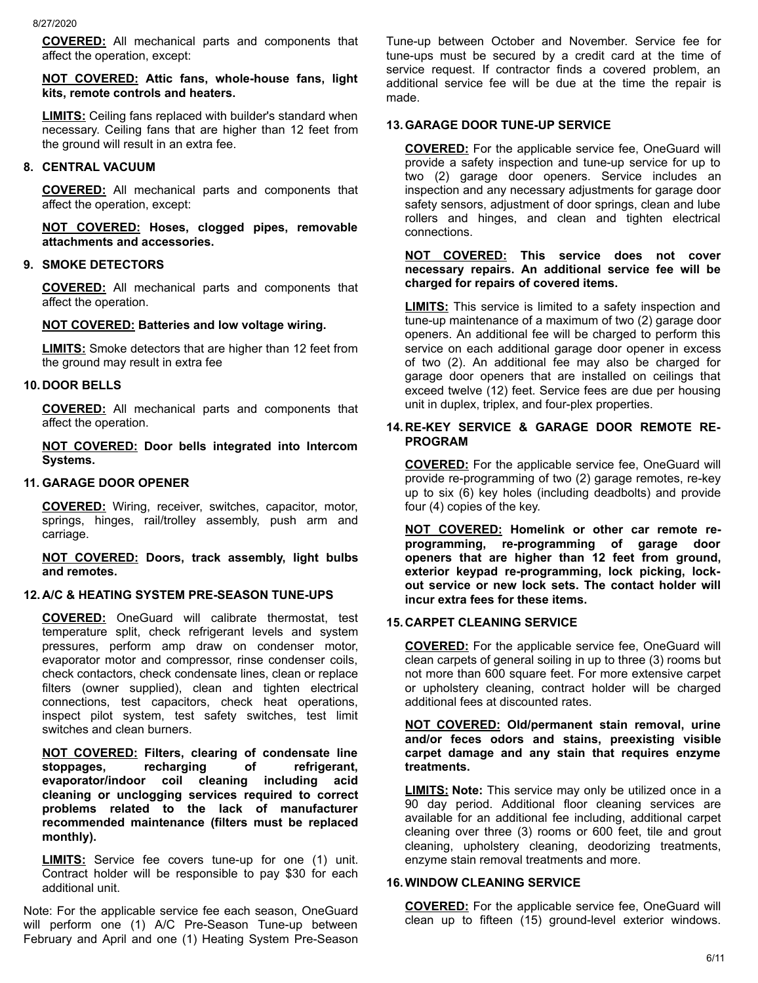**COVERED:** All mechanical parts and components that affect the operation, except:

### **NOT COVERED: Attic fans, whole-house fans, light kits, remote controls and heaters.**

**LIMITS:** Ceiling fans replaced with builder's standard when necessary. Ceiling fans that are higher than 12 feet from the ground will result in an extra fee.

### **8. CENTRAL VACUUM**

**COVERED:** All mechanical parts and components that affect the operation, except:

**NOT COVERED: Hoses, clogged pipes, removable attachments and accessories.**

### **9. SMOKE DETECTORS**

**COVERED:** All mechanical parts and components that affect the operation.

### **NOT COVERED: Batteries and low voltage wiring.**

**LIMITS:** Smoke detectors that are higher than 12 feet from the ground may result in extra fee

### **10. DOOR BELLS**

**COVERED:** All mechanical parts and components that affect the operation.

**NOT COVERED: Door bells integrated into Intercom Systems.**

### **11. GARAGE DOOR OPENER**

**COVERED:** Wiring, receiver, switches, capacitor, motor, springs, hinges, rail/trolley assembly, push arm and carriage.

**NOT COVERED: Doors, track assembly, light bulbs and remotes.**

### **12. A/C & HEATING SYSTEM PRE-SEASON TUNE-UPS**

**COVERED:** OneGuard will calibrate thermostat, test temperature split, check refrigerant levels and system pressures, perform amp draw on condenser motor, evaporator motor and compressor, rinse condenser coils, check contactors, check condensate lines, clean or replace filters (owner supplied), clean and tighten electrical connections, test capacitors, check heat operations, inspect pilot system, test safety switches, test limit switches and clean burners.

**NOT COVERED: Filters, clearing of condensate line stoppages, recharging of refrigerant, evaporator/indoor coil cleaning including acid cleaning or unclogging services required to correct problems related to the lack of manufacturer recommended maintenance (filters must be replaced monthly).**

**LIMITS:** Service fee covers tune-up for one (1) unit. Contract holder will be responsible to pay \$30 for each additional unit.

Note: For the applicable service fee each season, OneGuard will perform one (1) A/C Pre-Season Tune-up between February and April and one (1) Heating System Pre-Season

Tune-up between October and November. Service fee for tune-ups must be secured by a credit card at the time of service request. If contractor finds a covered problem, an additional service fee will be due at the time the repair is made.

### **13. GARAGE DOOR TUNE-UP SERVICE**

**COVERED:** For the applicable service fee, OneGuard will provide a safety inspection and tune-up service for up to two (2) garage door openers. Service includes an inspection and any necessary adjustments for garage door safety sensors, adjustment of door springs, clean and lube rollers and hinges, and clean and tighten electrical connections.

### **NOT COVERED: This service does not cover necessary repairs. An additional service fee will be charged for repairs of covered items.**

**LIMITS:** This service is limited to a safety inspection and tune-up maintenance of a maximum of two (2) garage door openers. An additional fee will be charged to perform this service on each additional garage door opener in excess of two (2). An additional fee may also be charged for garage door openers that are installed on ceilings that exceed twelve (12) feet. Service fees are due per housing unit in duplex, triplex, and four-plex properties.

### **14. RE-KEY SERVICE & GARAGE DOOR REMOTE RE-PROGRAM**

**COVERED:** For the applicable service fee, OneGuard will provide re-programming of two (2) garage remotes, re-key up to six (6) key holes (including deadbolts) and provide four (4) copies of the key.

**NOT COVERED: Homelink or other car remote reprogramming, re-programming of garage door openers that are higher than 12 feet from ground, exterior keypad re-programming, lock picking, lockout service or new lock sets. The contact holder will incur extra fees for these items.**

### **15. CARPET CLEANING SERVICE**

**COVERED:** For the applicable service fee, OneGuard will clean carpets of general soiling in up to three (3) rooms but not more than 600 square feet. For more extensive carpet or upholstery cleaning, contract holder will be charged additional fees at discounted rates.

### **NOT COVERED: Old/permanent stain removal, urine and/or feces odors and stains, preexisting visible carpet damage and any stain that requires enzyme treatments.**

**LIMITS: Note:** This service may only be utilized once in a 90 day period. Additional floor cleaning services are available for an additional fee including, additional carpet cleaning over three (3) rooms or 600 feet, tile and grout cleaning, upholstery cleaning, deodorizing treatments, enzyme stain removal treatments and more.

#### **16. WINDOW CLEANING SERVICE**

**COVERED:** For the applicable service fee, OneGuard will clean up to fifteen (15) ground-level exterior windows.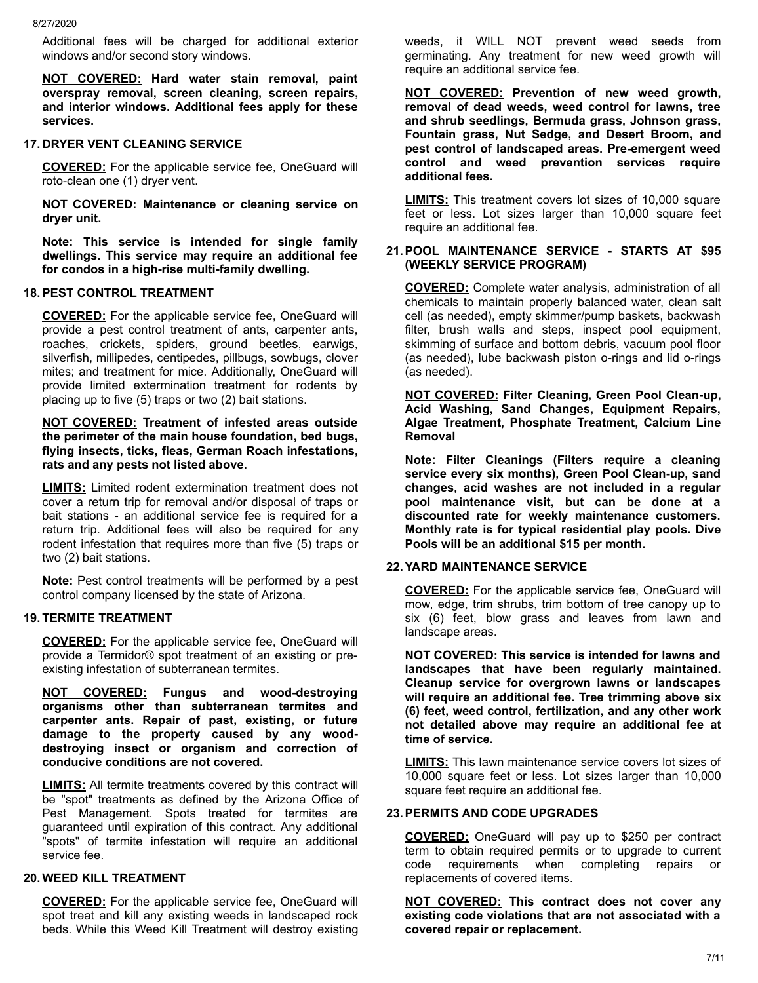Additional fees will be charged for additional exterior windows and/or second story windows.

**NOT COVERED: Hard water stain removal, paint overspray removal, screen cleaning, screen repairs, and interior windows. Additional fees apply for these services.**

#### **17. DRYER VENT CLEANING SERVICE**

**COVERED:** For the applicable service fee, OneGuard will roto-clean one (1) dryer vent.

**NOT COVERED: Maintenance or cleaning service on dryer unit.**

**Note: This service is intended for single family dwellings. This service may require an additional fee for condos in a high-rise multi-family dwelling.**

### **18. PEST CONTROL TREATMENT**

**COVERED:** For the applicable service fee, OneGuard will provide a pest control treatment of ants, carpenter ants, roaches, crickets, spiders, ground beetles, earwigs, silverfish, millipedes, centipedes, pillbugs, sowbugs, clover mites; and treatment for mice. Additionally, OneGuard will provide limited extermination treatment for rodents by placing up to five (5) traps or two (2) bait stations.

**NOT COVERED: Treatment of infested areas outside the perimeter of the main house foundation, bed bugs, flying insects, ticks, fleas, German Roach infestations, rats and any pests not listed above.**

**LIMITS:** Limited rodent extermination treatment does not cover a return trip for removal and/or disposal of traps or bait stations - an additional service fee is required for a return trip. Additional fees will also be required for any rodent infestation that requires more than five (5) traps or two (2) bait stations.

**Note:** Pest control treatments will be performed by a pest control company licensed by the state of Arizona.

## **19. TERMITE TREATMENT**

**COVERED:** For the applicable service fee, OneGuard will provide a Termidor® spot treatment of an existing or preexisting infestation of subterranean termites.

**NOT COVERED: Fungus and wood-destroying organisms other than subterranean termites and carpenter ants. Repair of past, existing, or future damage to the property caused by any wooddestroying insect or organism and correction of conducive conditions are not covered.**

**LIMITS:** All termite treatments covered by this contract will be "spot" treatments as defined by the Arizona Office of Pest Management. Spots treated for termites are guaranteed until expiration of this contract. Any additional "spots" of termite infestation will require an additional service fee.

### **20. WEED KILL TREATMENT**

**COVERED:** For the applicable service fee, OneGuard will spot treat and kill any existing weeds in landscaped rock beds. While this Weed Kill Treatment will destroy existing weeds, it WILL NOT prevent weed seeds from germinating. Any treatment for new weed growth will require an additional service fee.

**NOT COVERED: Prevention of new weed growth, removal of dead weeds, weed control for lawns, tree and shrub seedlings, Bermuda grass, Johnson grass, Fountain grass, Nut Sedge, and Desert Broom, and pest control of landscaped areas. Pre-emergent weed control and weed prevention services require additional fees.**

**LIMITS:** This treatment covers lot sizes of 10,000 square feet or less. Lot sizes larger than 10,000 square feet require an additional fee.

### **21. POOL MAINTENANCE SERVICE - STARTS AT \$95 (WEEKLY SERVICE PROGRAM)**

**COVERED:** Complete water analysis, administration of all chemicals to maintain properly balanced water, clean salt cell (as needed), empty skimmer/pump baskets, backwash filter, brush walls and steps, inspect pool equipment, skimming of surface and bottom debris, vacuum pool floor (as needed), lube backwash piston o-rings and lid o-rings (as needed).

**NOT COVERED: Filter Cleaning, Green Pool Clean-up, Acid Washing, Sand Changes, Equipment Repairs, Algae Treatment, Phosphate Treatment, Calcium Line Removal**

**Note: Filter Cleanings (Filters require a cleaning service every six months), Green Pool Clean-up, sand changes, acid washes are not included in a regular pool maintenance visit, but can be done at a discounted rate for weekly maintenance customers. Monthly rate is for typical residential play pools. Dive Pools will be an additional \$15 per month.**

### **22. YARD MAINTENANCE SERVICE**

**COVERED:** For the applicable service fee, OneGuard will mow, edge, trim shrubs, trim bottom of tree canopy up to six (6) feet, blow grass and leaves from lawn and landscape areas.

**NOT COVERED: This service is intended for lawns and landscapes that have been regularly maintained. Cleanup service for overgrown lawns or landscapes will require an additional fee. Tree trimming above six (6) feet, weed control, fertilization, and any other work not detailed above may require an additional fee at time of service.**

**LIMITS:** This lawn maintenance service covers lot sizes of 10,000 square feet or less. Lot sizes larger than 10,000 square feet require an additional fee.

### **23. PERMITS AND CODE UPGRADES**

**COVERED:** OneGuard will pay up to \$250 per contract term to obtain required permits or to upgrade to current code requirements when completing repairs or replacements of covered items.

**NOT COVERED: This contract does not cover any existing code violations that are not associated with a covered repair or replacement.**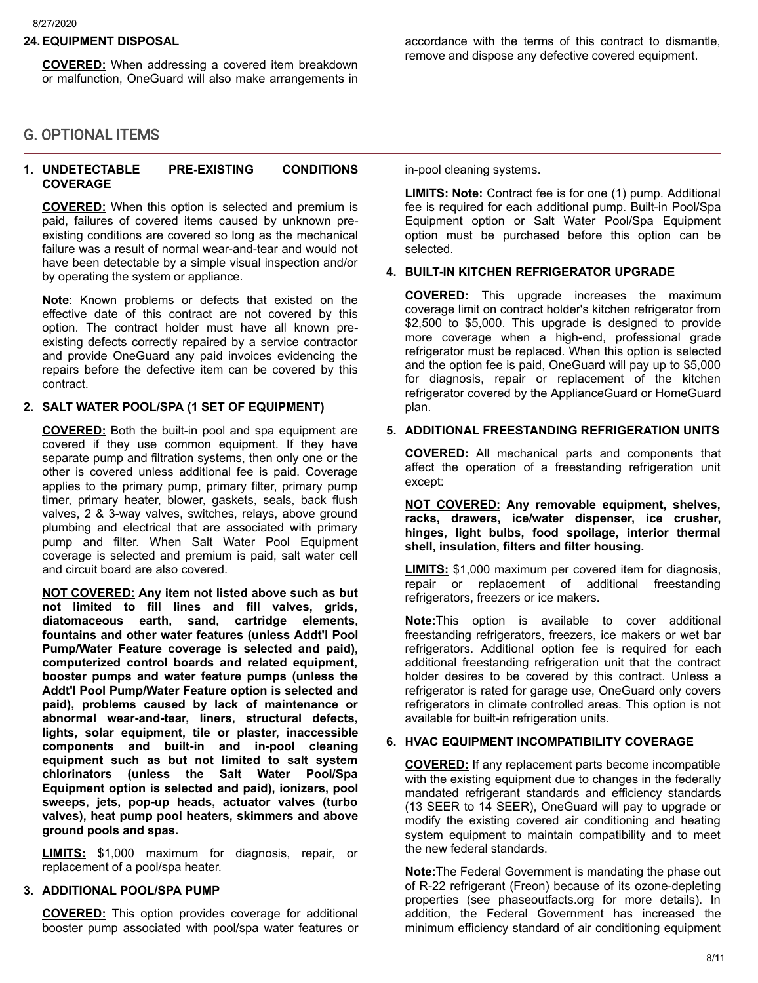### **24. EQUIPMENT DISPOSAL**

**COVERED:** When addressing a covered item breakdown or malfunction, OneGuard will also make arrangements in

### G. OPTIONAL ITEMS

#### **1. UNDETECTABLE PRE-EXISTING CONDITIONS COVERAGE**

**COVERED:** When this option is selected and premium is paid, failures of covered items caused by unknown preexisting conditions are covered so long as the mechanical failure was a result of normal wear-and-tear and would not have been detectable by a simple visual inspection and/or by operating the system or appliance.

**Note**: Known problems or defects that existed on the effective date of this contract are not covered by this option. The contract holder must have all known preexisting defects correctly repaired by a service contractor and provide OneGuard any paid invoices evidencing the repairs before the defective item can be covered by this contract.

## **2. SALT WATER POOL/SPA (1 SET OF EQUIPMENT)**

**COVERED:** Both the built-in pool and spa equipment are covered if they use common equipment. If they have separate pump and filtration systems, then only one or the other is covered unless additional fee is paid. Coverage applies to the primary pump, primary filter, primary pump timer, primary heater, blower, gaskets, seals, back flush valves, 2 & 3-way valves, switches, relays, above ground plumbing and electrical that are associated with primary pump and filter. When Salt Water Pool Equipment coverage is selected and premium is paid, salt water cell and circuit board are also covered.

**NOT COVERED: Any item not listed above such as but not limited to fill lines and fill valves, grids, diatomaceous earth, sand, cartridge elements, fountains and other water features (unless Addt'l Pool Pump/Water Feature coverage is selected and paid), computerized control boards and related equipment, booster pumps and water feature pumps (unless the Addt'l Pool Pump/Water Feature option is selected and paid), problems caused by lack of maintenance or abnormal wear-and-tear, liners, structural defects, lights, solar equipment, tile or plaster, inaccessible components and built-in and in-pool cleaning equipment such as but not limited to salt system chlorinators (unless the Salt Water Pool/Spa Equipment option is selected and paid), ionizers, pool sweeps, jets, pop-up heads, actuator valves (turbo valves), heat pump pool heaters, skimmers and above ground pools and spas.**

**LIMITS:** \$1,000 maximum for diagnosis, repair, or replacement of a pool/spa heater.

#### **3. ADDITIONAL POOL/SPA PUMP**

**COVERED:** This option provides coverage for additional booster pump associated with pool/spa water features or in-pool cleaning systems.

**LIMITS: Note:** Contract fee is for one (1) pump. Additional fee is required for each additional pump. Built-in Pool/Spa Equipment option or Salt Water Pool/Spa Equipment option must be purchased before this option can be selected.

### **4. BUILT-IN KITCHEN REFRIGERATOR UPGRADE**

**COVERED:** This upgrade increases the maximum coverage limit on contract holder's kitchen refrigerator from \$2,500 to \$5,000. This upgrade is designed to provide more coverage when a high-end, professional grade refrigerator must be replaced. When this option is selected and the option fee is paid, OneGuard will pay up to \$5,000 for diagnosis, repair or replacement of the kitchen refrigerator covered by the ApplianceGuard or HomeGuard plan.

### **5. ADDITIONAL FREESTANDING REFRIGERATION UNITS**

**COVERED:** All mechanical parts and components that affect the operation of a freestanding refrigeration unit except:

**NOT COVERED: Any removable equipment, shelves, racks, drawers, ice/water dispenser, ice crusher, hinges, light bulbs, food spoilage, interior thermal shell, insulation, filters and filter housing.**

**LIMITS:** \$1,000 maximum per covered item for diagnosis, repair or replacement of additional freestanding refrigerators, freezers or ice makers.

**Note:**This option is available to cover additional freestanding refrigerators, freezers, ice makers or wet bar refrigerators. Additional option fee is required for each additional freestanding refrigeration unit that the contract holder desires to be covered by this contract. Unless a refrigerator is rated for garage use, OneGuard only covers refrigerators in climate controlled areas. This option is not available for built-in refrigeration units.

## **6. HVAC EQUIPMENT INCOMPATIBILITY COVERAGE**

**COVERED:** If any replacement parts become incompatible with the existing equipment due to changes in the federally mandated refrigerant standards and efficiency standards (13 SEER to 14 SEER), OneGuard will pay to upgrade or modify the existing covered air conditioning and heating system equipment to maintain compatibility and to meet the new federal standards.

**Note:**The Federal Government is mandating the phase out of R-22 refrigerant (Freon) because of its ozone-depleting properties (see phaseoutfacts.org for more details). In addition, the Federal Government has increased the minimum efficiency standard of air conditioning equipment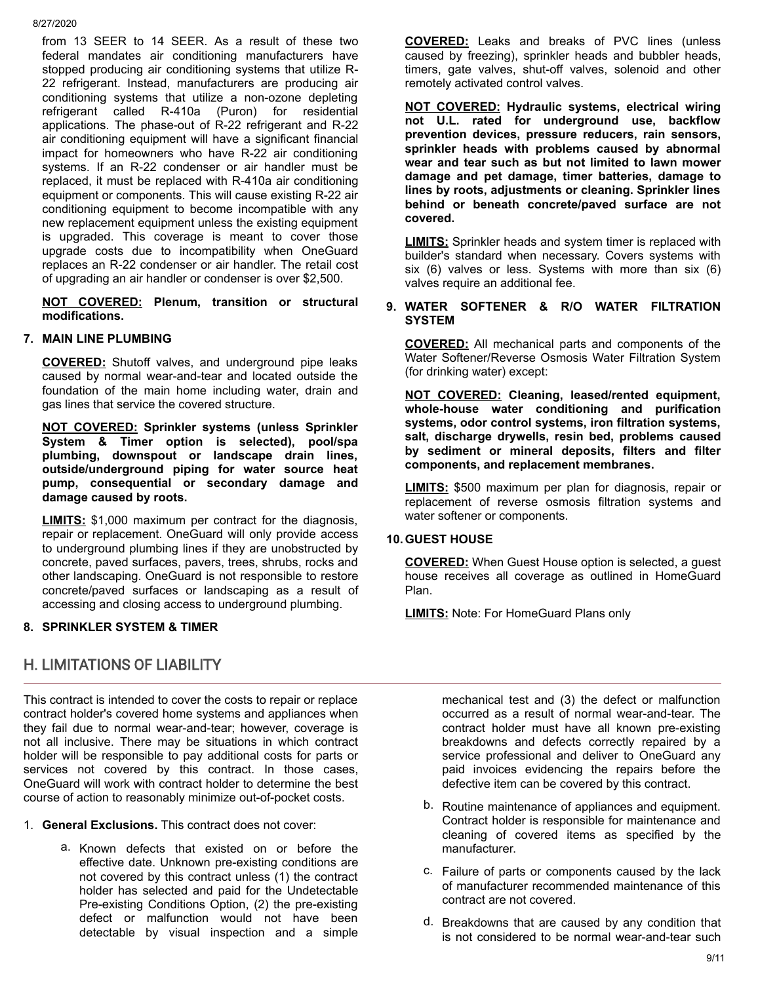from 13 SEER to 14 SEER. As a result of these two federal mandates air conditioning manufacturers have stopped producing air conditioning systems that utilize R-22 refrigerant. Instead, manufacturers are producing air conditioning systems that utilize a non-ozone depleting refrigerant called R-410a (Puron) for residential applications. The phase-out of R-22 refrigerant and R-22 air conditioning equipment will have a significant financial impact for homeowners who have R-22 air conditioning systems. If an R-22 condenser or air handler must be replaced, it must be replaced with R-410a air conditioning equipment or components. This will cause existing R-22 air conditioning equipment to become incompatible with any new replacement equipment unless the existing equipment is upgraded. This coverage is meant to cover those upgrade costs due to incompatibility when OneGuard replaces an R-22 condenser or air handler. The retail cost of upgrading an air handler or condenser is over \$2,500.

**NOT COVERED: Plenum, transition or structural modifications.**

### **7. MAIN LINE PLUMBING**

**COVERED:** Shutoff valves, and underground pipe leaks caused by normal wear-and-tear and located outside the foundation of the main home including water, drain and gas lines that service the covered structure.

**NOT COVERED: Sprinkler systems (unless Sprinkler System & Timer option is selected), pool/spa plumbing, downspout or landscape drain lines, outside/underground piping for water source heat pump, consequential or secondary damage and damage caused by roots.**

**LIMITS:** \$1,000 maximum per contract for the diagnosis, repair or replacement. OneGuard will only provide access to underground plumbing lines if they are unobstructed by concrete, paved surfaces, pavers, trees, shrubs, rocks and other landscaping. OneGuard is not responsible to restore concrete/paved surfaces or landscaping as a result of accessing and closing access to underground plumbing.

### **8. SPRINKLER SYSTEM & TIMER**

# H. LIMITATIONS OF LIABILITY

This contract is intended to cover the costs to repair or replace contract holder's covered home systems and appliances when they fail due to normal wear-and-tear; however, coverage is not all inclusive. There may be situations in which contract holder will be responsible to pay additional costs for parts or services not covered by this contract. In those cases, OneGuard will work with contract holder to determine the best course of action to reasonably minimize out-of-pocket costs.

- 1. **General Exclusions.** This contract does not cover:
	- a. Known defects that existed on or before the effective date. Unknown pre-existing conditions are not covered by this contract unless (1) the contract holder has selected and paid for the Undetectable Pre-existing Conditions Option, (2) the pre-existing defect or malfunction would not have been detectable by visual inspection and a simple

**COVERED:** Leaks and breaks of PVC lines (unless caused by freezing), sprinkler heads and bubbler heads, timers, gate valves, shut-off valves, solenoid and other remotely activated control valves.

**NOT COVERED: Hydraulic systems, electrical wiring not U.L. rated for underground use, backflow prevention devices, pressure reducers, rain sensors, sprinkler heads with problems caused by abnormal wear and tear such as but not limited to lawn mower damage and pet damage, timer batteries, damage to lines by roots, adjustments or cleaning. Sprinkler lines behind or beneath concrete/paved surface are not covered.**

**LIMITS:** Sprinkler heads and system timer is replaced with builder's standard when necessary. Covers systems with six (6) valves or less. Systems with more than six (6) valves require an additional fee.

## **9. WATER SOFTENER & R/O WATER FILTRATION SYSTEM**

**COVERED:** All mechanical parts and components of the Water Softener/Reverse Osmosis Water Filtration System (for drinking water) except:

**NOT COVERED: Cleaning, leased/rented equipment, whole-house water conditioning and purification systems, odor control systems, iron filtration systems, salt, discharge drywells, resin bed, problems caused by sediment or mineral deposits, filters and filter components, and replacement membranes.**

**LIMITS:** \$500 maximum per plan for diagnosis, repair or replacement of reverse osmosis filtration systems and water softener or components.

## **10. GUEST HOUSE**

**COVERED:** When Guest House option is selected, a guest house receives all coverage as outlined in HomeGuard Plan.

**LIMITS:** Note: For HomeGuard Plans only

mechanical test and (3) the defect or malfunction occurred as a result of normal wear-and-tear. The contract holder must have all known pre-existing breakdowns and defects correctly repaired by a service professional and deliver to OneGuard any paid invoices evidencing the repairs before the defective item can be covered by this contract.

- b. Routine maintenance of appliances and equipment. Contract holder is responsible for maintenance and cleaning of covered items as specified by the manufacturer.
- c. Failure of parts or components caused by the lack of manufacturer recommended maintenance of this contract are not covered.
- d. Breakdowns that are caused by any condition that is not considered to be normal wear-and-tear such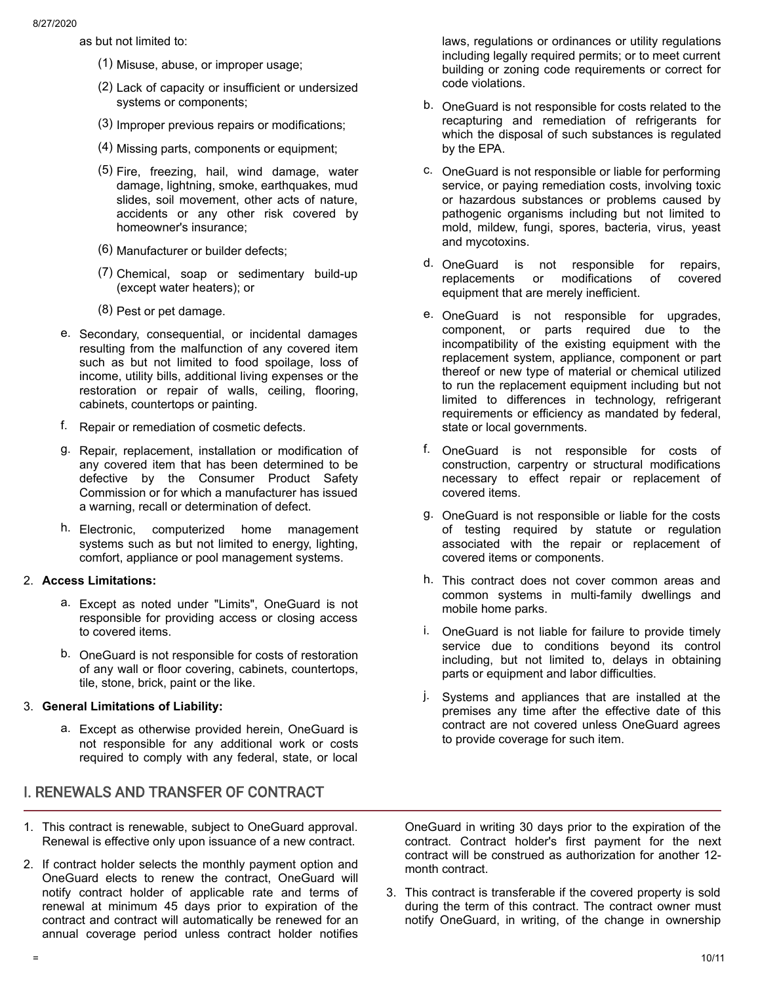- as but not limited to:
	- (1) Misuse, abuse, or improper usage;
	- (2) Lack of capacity or insufficient or undersized systems or components;
	- (3) Improper previous repairs or modifications;
	- (4) Missing parts, components or equipment;
	- (5) Fire, freezing, hail, wind damage, water damage, lightning, smoke, earthquakes, mud slides, soil movement, other acts of nature. accidents or any other risk covered by homeowner's insurance;
	- (6) Manufacturer or builder defects;
	- (7) Chemical, soap or sedimentary build-up (except water heaters); or
	- (8) Pest or pet damage.
- e. Secondary, consequential, or incidental damages resulting from the malfunction of any covered item such as but not limited to food spoilage, loss of income, utility bills, additional living expenses or the restoration or repair of walls, ceiling, flooring, cabinets, countertops or painting.
- f. Repair or remediation of cosmetic defects.
- g. Repair, replacement, installation or modification of any covered item that has been determined to be defective by the Consumer Product Safety Commission or for which a manufacturer has issued a warning, recall or determination of defect.
- h. Electronic, computerized home management systems such as but not limited to energy, lighting, comfort, appliance or pool management systems.

## 2. **Access Limitations:**

- a. Except as noted under "Limits", OneGuard is not responsible for providing access or closing access to covered items.
- b. OneGuard is not responsible for costs of restoration of any wall or floor covering, cabinets, countertops, tile, stone, brick, paint or the like.

## 3. **General Limitations of Liability:**

a. Except as otherwise provided herein, OneGuard is not responsible for any additional work or costs required to comply with any federal, state, or local

# I. RENEWALS AND TRANSFER OF CONTRACT

- 1. This contract is renewable, subject to OneGuard approval. Renewal is effective only upon issuance of a new contract.
- 2. If contract holder selects the monthly payment option and OneGuard elects to renew the contract, OneGuard will notify contract holder of applicable rate and terms of renewal at minimum 45 days prior to expiration of the contract and contract will automatically be renewed for an annual coverage period unless contract holder notifies

laws, regulations or ordinances or utility regulations including legally required permits; or to meet current building or zoning code requirements or correct for code violations.

- b. OneGuard is not responsible for costs related to the recapturing and remediation of refrigerants for which the disposal of such substances is regulated by the EPA.
- c. OneGuard is not responsible or liable for performing service, or paying remediation costs, involving toxic or hazardous substances or problems caused by pathogenic organisms including but not limited to mold, mildew, fungi, spores, bacteria, virus, yeast and mycotoxins.
- d. OneGuard is not responsible for repairs, replacements or modifications of covered equipment that are merely inefficient.
- e. OneGuard is not responsible for upgrades, component, or parts required due to the incompatibility of the existing equipment with the replacement system, appliance, component or part thereof or new type of material or chemical utilized to run the replacement equipment including but not limited to differences in technology, refrigerant requirements or efficiency as mandated by federal, state or local governments.
- f. OneGuard is not responsible for costs of construction, carpentry or structural modifications necessary to effect repair or replacement of covered items.
- g. OneGuard is not responsible or liable for the costs of testing required by statute or regulation associated with the repair or replacement of covered items or components.
- h. This contract does not cover common areas and common systems in multi-family dwellings and mobile home parks.
- i. OneGuard is not liable for failure to provide timely service due to conditions beyond its control including, but not limited to, delays in obtaining parts or equipment and labor difficulties.
- j. Systems and appliances that are installed at the premises any time after the effective date of this contract are not covered unless OneGuard agrees to provide coverage for such item.

OneGuard in writing 30 days prior to the expiration of the contract. Contract holder's first payment for the next contract will be construed as authorization for another 12 month contract.

3. This contract is transferable if the covered property is sold during the term of this contract. The contract owner must notify OneGuard, in writing, of the change in ownership